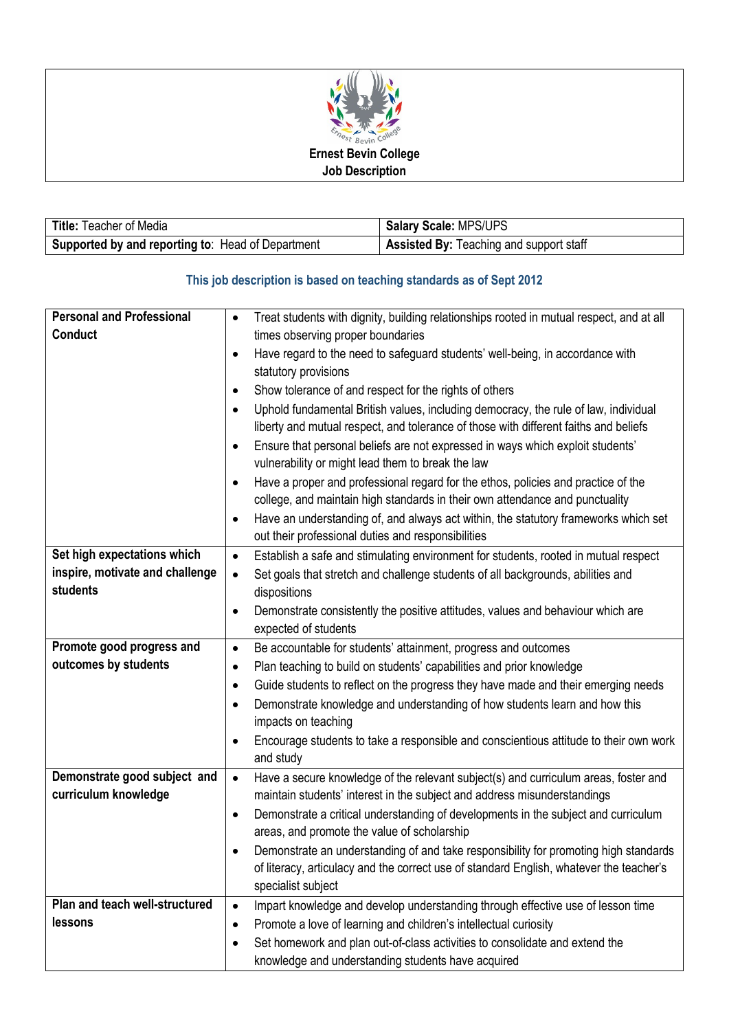

| <b>Title: Teacher of Media</b>                    | Salary Scale: MPS/UPS                          |
|---------------------------------------------------|------------------------------------------------|
| Supported by and reporting to: Head of Department | <b>Assisted By: Teaching and support staff</b> |

## **This job description is based on teaching standards as of Sept 2012**

| <b>Personal and Professional</b> | Treat students with dignity, building relationships rooted in mutual respect, and at all<br>$\bullet$                                          |  |  |
|----------------------------------|------------------------------------------------------------------------------------------------------------------------------------------------|--|--|
| <b>Conduct</b>                   | times observing proper boundaries                                                                                                              |  |  |
|                                  | Have regard to the need to safeguard students' well-being, in accordance with<br>$\bullet$                                                     |  |  |
|                                  | statutory provisions                                                                                                                           |  |  |
|                                  | Show tolerance of and respect for the rights of others<br>$\bullet$                                                                            |  |  |
|                                  | Uphold fundamental British values, including democracy, the rule of law, individual<br>$\bullet$                                               |  |  |
|                                  | liberty and mutual respect, and tolerance of those with different faiths and beliefs                                                           |  |  |
|                                  | Ensure that personal beliefs are not expressed in ways which exploit students'<br>$\bullet$                                                    |  |  |
|                                  | vulnerability or might lead them to break the law                                                                                              |  |  |
|                                  | Have a proper and professional regard for the ethos, policies and practice of the<br>$\bullet$                                                 |  |  |
|                                  | college, and maintain high standards in their own attendance and punctuality                                                                   |  |  |
|                                  | Have an understanding of, and always act within, the statutory frameworks which set<br>٠                                                       |  |  |
|                                  | out their professional duties and responsibilities                                                                                             |  |  |
| Set high expectations which      | Establish a safe and stimulating environment for students, rooted in mutual respect<br>$\bullet$                                               |  |  |
| inspire, motivate and challenge  | Set goals that stretch and challenge students of all backgrounds, abilities and<br>$\bullet$                                                   |  |  |
| students                         | dispositions                                                                                                                                   |  |  |
|                                  | Demonstrate consistently the positive attitudes, values and behaviour which are<br>$\bullet$                                                   |  |  |
|                                  | expected of students                                                                                                                           |  |  |
| Promote good progress and        | Be accountable for students' attainment, progress and outcomes<br>$\bullet$                                                                    |  |  |
| outcomes by students             | Plan teaching to build on students' capabilities and prior knowledge<br>$\bullet$                                                              |  |  |
|                                  | Guide students to reflect on the progress they have made and their emerging needs<br>$\bullet$                                                 |  |  |
|                                  | Demonstrate knowledge and understanding of how students learn and how this<br>$\bullet$                                                        |  |  |
|                                  | impacts on teaching                                                                                                                            |  |  |
|                                  | Encourage students to take a responsible and conscientious attitude to their own work<br>٠                                                     |  |  |
|                                  | and study                                                                                                                                      |  |  |
| Demonstrate good subject and     | Have a secure knowledge of the relevant subject(s) and curriculum areas, foster and<br>$\bullet$                                               |  |  |
| curriculum knowledge             | maintain students' interest in the subject and address misunderstandings                                                                       |  |  |
|                                  | Demonstrate a critical understanding of developments in the subject and curriculum<br>$\bullet$                                                |  |  |
|                                  | areas, and promote the value of scholarship                                                                                                    |  |  |
|                                  | Demonstrate an understanding of and take responsibility for promoting high standards                                                           |  |  |
|                                  | of literacy, articulacy and the correct use of standard English, whatever the teacher's                                                        |  |  |
|                                  | specialist subject                                                                                                                             |  |  |
| Plan and teach well-structured   | Impart knowledge and develop understanding through effective use of lesson time<br>$\bullet$                                                   |  |  |
|                                  |                                                                                                                                                |  |  |
| lessons                          | Promote a love of learning and children's intellectual curiosity<br>٠                                                                          |  |  |
|                                  | Set homework and plan out-of-class activities to consolidate and extend the<br>$\bullet$<br>knowledge and understanding students have acquired |  |  |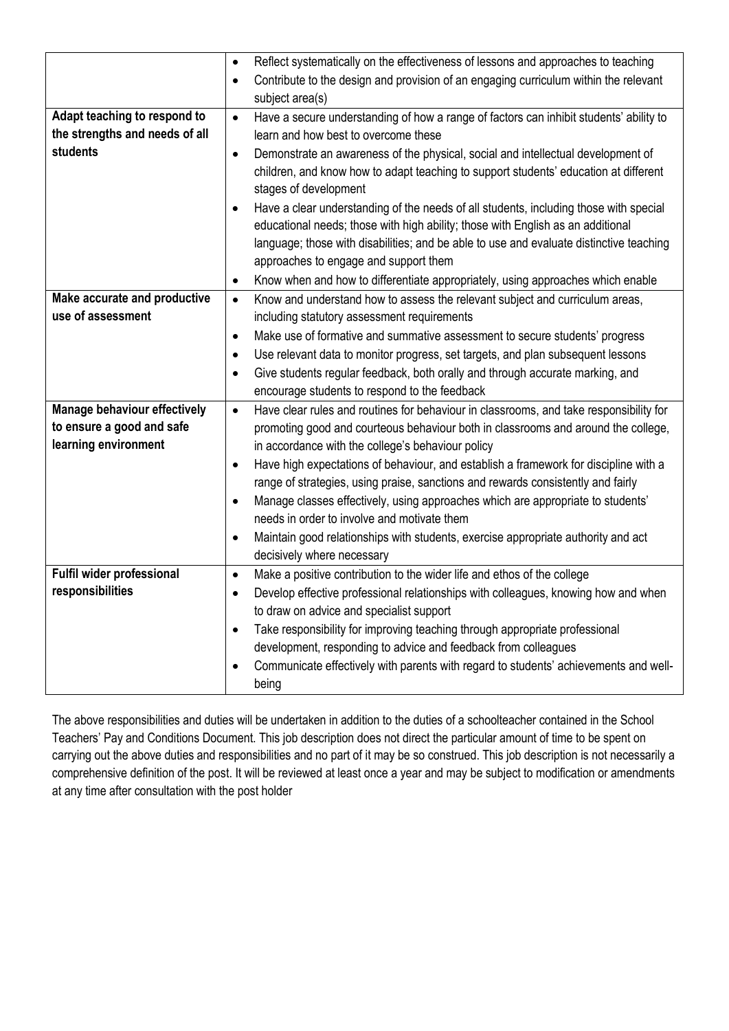|                                | Reflect systematically on the effectiveness of lessons and approaches to teaching<br>$\bullet$      |  |  |
|--------------------------------|-----------------------------------------------------------------------------------------------------|--|--|
|                                | Contribute to the design and provision of an engaging curriculum within the relevant                |  |  |
|                                | subject area(s)                                                                                     |  |  |
| Adapt teaching to respond to   | Have a secure understanding of how a range of factors can inhibit students' ability to<br>$\bullet$ |  |  |
| the strengths and needs of all | learn and how best to overcome these                                                                |  |  |
| students                       | Demonstrate an awareness of the physical, social and intellectual development of<br>$\bullet$       |  |  |
|                                | children, and know how to adapt teaching to support students' education at different                |  |  |
|                                | stages of development                                                                               |  |  |
|                                | Have a clear understanding of the needs of all students, including those with special<br>$\bullet$  |  |  |
|                                | educational needs; those with high ability; those with English as an additional                     |  |  |
|                                | language; those with disabilities; and be able to use and evaluate distinctive teaching             |  |  |
|                                | approaches to engage and support them                                                               |  |  |
|                                | Know when and how to differentiate appropriately, using approaches which enable<br>$\bullet$        |  |  |
| Make accurate and productive   | Know and understand how to assess the relevant subject and curriculum areas,<br>$\bullet$           |  |  |
| use of assessment              | including statutory assessment requirements                                                         |  |  |
|                                | Make use of formative and summative assessment to secure students' progress<br>$\bullet$            |  |  |
|                                | Use relevant data to monitor progress, set targets, and plan subsequent lessons<br>$\bullet$        |  |  |
|                                | Give students regular feedback, both orally and through accurate marking, and<br>$\bullet$          |  |  |
|                                | encourage students to respond to the feedback                                                       |  |  |
| Manage behaviour effectively   | Have clear rules and routines for behaviour in classrooms, and take responsibility for<br>$\bullet$ |  |  |
| to ensure a good and safe      | promoting good and courteous behaviour both in classrooms and around the college,                   |  |  |
| learning environment           | in accordance with the college's behaviour policy                                                   |  |  |
|                                | Have high expectations of behaviour, and establish a framework for discipline with a<br>$\bullet$   |  |  |
|                                | range of strategies, using praise, sanctions and rewards consistently and fairly                    |  |  |
|                                | Manage classes effectively, using approaches which are appropriate to students'<br>$\bullet$        |  |  |
|                                | needs in order to involve and motivate them                                                         |  |  |
|                                | Maintain good relationships with students, exercise appropriate authority and act<br>٠              |  |  |
|                                | decisively where necessary                                                                          |  |  |
| Fulfil wider professional      | Make a positive contribution to the wider life and ethos of the college<br>$\bullet$                |  |  |
| responsibilities               | Develop effective professional relationships with colleagues, knowing how and when<br>$\bullet$     |  |  |
|                                | to draw on advice and specialist support                                                            |  |  |
|                                | Take responsibility for improving teaching through appropriate professional<br>$\bullet$            |  |  |
|                                | development, responding to advice and feedback from colleagues                                      |  |  |
|                                | Communicate effectively with parents with regard to students' achievements and well-<br>٠           |  |  |
|                                | being                                                                                               |  |  |

The above responsibilities and duties will be undertaken in addition to the duties of a schoolteacher contained in the School Teachers' Pay and Conditions Document. This job description does not direct the particular amount of time to be spent on carrying out the above duties and responsibilities and no part of it may be so construed. This job description is not necessarily a comprehensive definition of the post. It will be reviewed at least once a year and may be subject to modification or amendments at any time after consultation with the post holder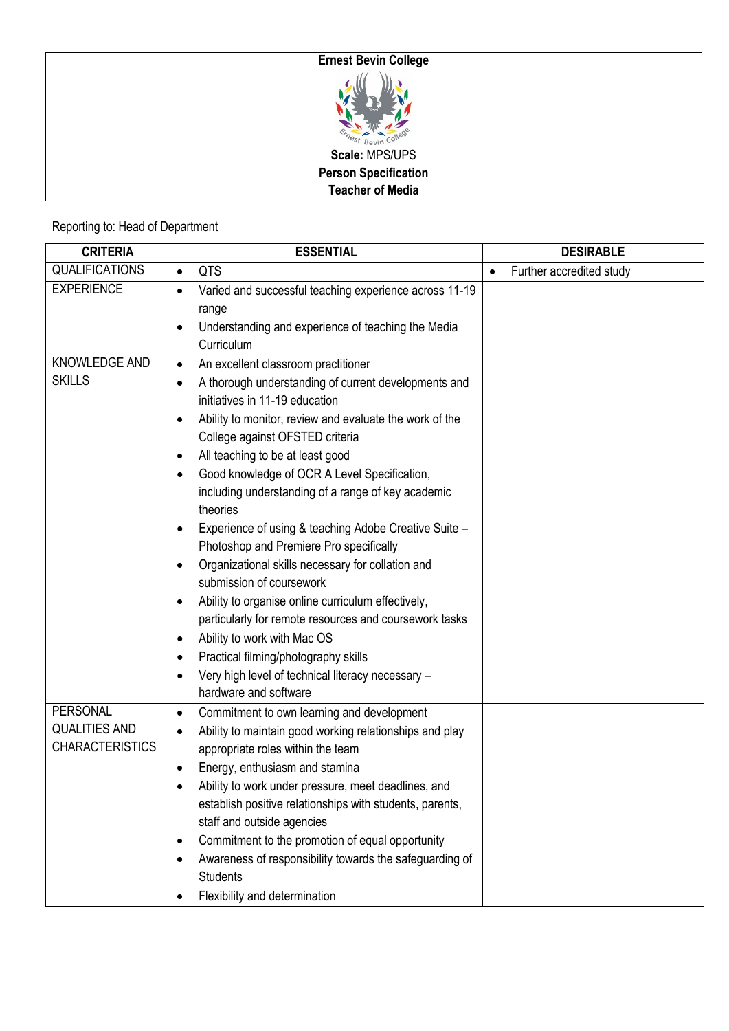

## Reporting to: Head of Department

| <b>CRITERIA</b>        | <b>ESSENTIAL</b>                                                           | <b>DESIRABLE</b>                      |
|------------------------|----------------------------------------------------------------------------|---------------------------------------|
| <b>QUALIFICATIONS</b>  | QTS<br>$\bullet$                                                           | Further accredited study<br>$\bullet$ |
| <b>EXPERIENCE</b>      | Varied and successful teaching experience across 11-19<br>$\bullet$        |                                       |
|                        | range                                                                      |                                       |
|                        | Understanding and experience of teaching the Media<br>$\bullet$            |                                       |
|                        | Curriculum                                                                 |                                       |
| KNOWLEDGE AND          | An excellent classroom practitioner<br>$\bullet$                           |                                       |
| <b>SKILLS</b>          | A thorough understanding of current developments and<br>$\bullet$          |                                       |
|                        | initiatives in 11-19 education                                             |                                       |
|                        | Ability to monitor, review and evaluate the work of the<br>$\bullet$       |                                       |
|                        | College against OFSTED criteria                                            |                                       |
|                        | All teaching to be at least good<br>٠                                      |                                       |
|                        | Good knowledge of OCR A Level Specification,<br>$\bullet$                  |                                       |
|                        | including understanding of a range of key academic                         |                                       |
|                        | theories                                                                   |                                       |
|                        | Experience of using & teaching Adobe Creative Suite -<br>٠                 |                                       |
|                        | Photoshop and Premiere Pro specifically                                    |                                       |
|                        | Organizational skills necessary for collation and                          |                                       |
|                        | submission of coursework                                                   |                                       |
|                        | Ability to organise online curriculum effectively,                         |                                       |
|                        | particularly for remote resources and coursework tasks                     |                                       |
|                        | Ability to work with Mac OS                                                |                                       |
|                        | Practical filming/photography skills<br>$\bullet$                          |                                       |
|                        | Very high level of technical literacy necessary -<br>$\bullet$             |                                       |
|                        | hardware and software                                                      |                                       |
| PERSONAL               | Commitment to own learning and development<br>$\bullet$                    |                                       |
| <b>QUALITIES AND</b>   | Ability to maintain good working relationships and play<br>$\bullet$       |                                       |
| <b>CHARACTERISTICS</b> | appropriate roles within the team                                          |                                       |
|                        | Energy, enthusiasm and stamina<br>٠                                        |                                       |
|                        | Ability to work under pressure, meet deadlines, and                        |                                       |
|                        | establish positive relationships with students, parents,                   |                                       |
|                        | staff and outside agencies                                                 |                                       |
|                        | Commitment to the promotion of equal opportunity<br>$\bullet$              |                                       |
|                        | Awareness of responsibility towards the safeguarding of<br><b>Students</b> |                                       |
|                        | Flexibility and determination<br>٠                                         |                                       |